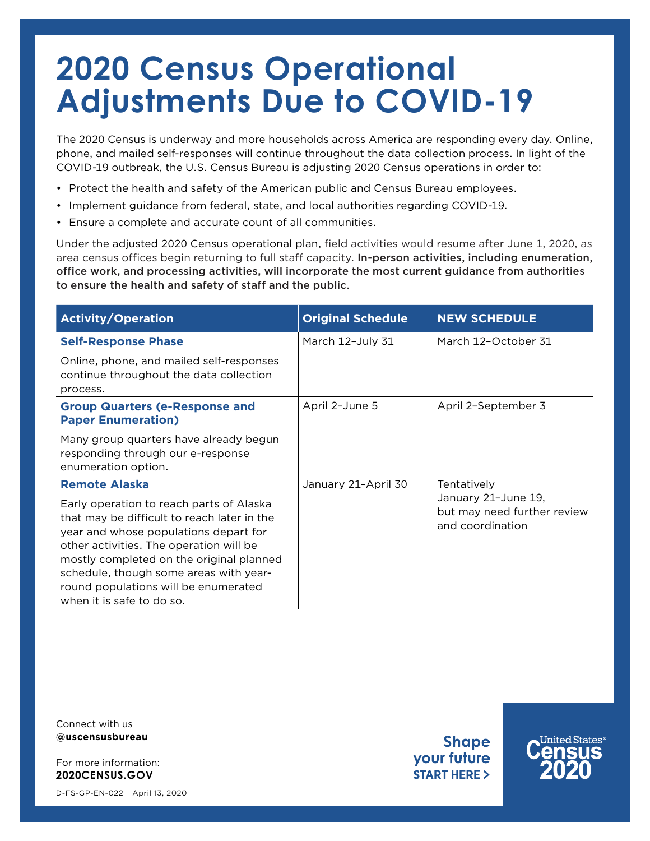## **2020 Census Operational Adjustments Due to COVID-19**

The 2020 Census is underway and more households across America are responding every day. Online, phone, and mailed self-responses will continue throughout the data collection process. In light of the COVID-19 outbreak, the U.S. Census Bureau is adjusting 2020 Census operations in order to:

- Protect the health and safety of the American public and Census Bureau employees.
- Implement guidance from federal, state, and local authorities regarding COVID-19.
- Ensure a complete and accurate count of all communities.

Under the adjusted 2020 Census operational plan, field activities would resume after June 1, 2020, as area census offices begin returning to full staff capacity. In-person activities, including enumeration, office work, and processing activities, will incorporate the most current guidance from authorities to ensure the health and safety of staff and the public.

| <b>Activity/Operation</b>                                                                                                                                                                                                                                                                                                              | <b>Original Schedule</b> | <b>NEW SCHEDULE</b>                                                    |
|----------------------------------------------------------------------------------------------------------------------------------------------------------------------------------------------------------------------------------------------------------------------------------------------------------------------------------------|--------------------------|------------------------------------------------------------------------|
| <b>Self-Response Phase</b>                                                                                                                                                                                                                                                                                                             | March 12-July 31         | March 12-October 31                                                    |
| Online, phone, and mailed self-responses<br>continue throughout the data collection<br>process.                                                                                                                                                                                                                                        |                          |                                                                        |
| <b>Group Quarters (e-Response and</b><br><b>Paper Enumeration)</b>                                                                                                                                                                                                                                                                     | April 2-June 5           | April 2-September 3                                                    |
| Many group quarters have already begun<br>responding through our e-response<br>enumeration option.                                                                                                                                                                                                                                     |                          |                                                                        |
| <b>Remote Alaska</b>                                                                                                                                                                                                                                                                                                                   | January 21-April 30      | Tentatively                                                            |
| Early operation to reach parts of Alaska<br>that may be difficult to reach later in the<br>year and whose populations depart for<br>other activities. The operation will be<br>mostly completed on the original planned<br>schedule, though some areas with year-<br>round populations will be enumerated<br>when it is safe to do so. |                          | January 21-June 19,<br>but may need further review<br>and coordination |

Connect with us **@uscensusbureau**

**2020CENSUS.GOV** For more information:

**Shape** your future **START HERE >** 



D-FS-GP-EN-022 April 13, 2020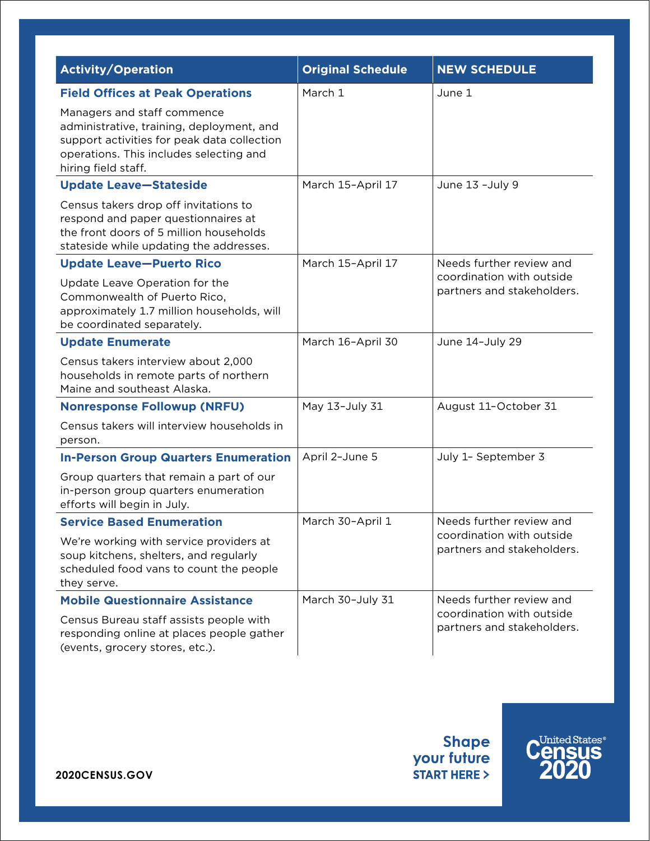| <b>Activity/Operation</b>                                                                                                                                          | <b>Original Schedule</b> | <b>NEW SCHEDULE</b>                                                                 |
|--------------------------------------------------------------------------------------------------------------------------------------------------------------------|--------------------------|-------------------------------------------------------------------------------------|
| <b>Field Offices at Peak Operations</b><br>Managers and staff commence                                                                                             | March 1                  | June 1                                                                              |
| administrative, training, deployment, and<br>support activities for peak data collection<br>operations. This includes selecting and<br>hiring field staff.         |                          |                                                                                     |
| <b>Update Leave-Stateside</b>                                                                                                                                      | March 15-April 17        | June 13 -July 9                                                                     |
| Census takers drop off invitations to<br>respond and paper questionnaires at<br>the front doors of 5 million households<br>stateside while updating the addresses. |                          |                                                                                     |
| <b>Update Leave-Puerto Rico</b>                                                                                                                                    | March 15-April 17        | Needs further review and<br>coordination with outside<br>partners and stakeholders. |
| Update Leave Operation for the<br>Commonwealth of Puerto Rico,<br>approximately 1.7 million households, will<br>be coordinated separately.                         |                          |                                                                                     |
| <b>Update Enumerate</b>                                                                                                                                            | March 16-April 30        | June 14-July 29                                                                     |
| Census takers interview about 2,000<br>households in remote parts of northern<br>Maine and southeast Alaska.                                                       |                          |                                                                                     |
| <b>Nonresponse Followup (NRFU)</b>                                                                                                                                 | May 13-July 31           | August 11-October 31                                                                |
| Census takers will interview households in<br>person.                                                                                                              |                          |                                                                                     |
| <b>In-Person Group Quarters Enumeration</b>                                                                                                                        | April 2-June 5           | July 1- September 3                                                                 |
| Group quarters that remain a part of our<br>in-person group quarters enumeration<br>efforts will begin in July.                                                    |                          |                                                                                     |
| <b>Service Based Enumeration</b>                                                                                                                                   | March 30-April 1         | Needs further review and<br>coordination with outside<br>partners and stakeholders. |
| We're working with service providers at<br>soup kitchens, shelters, and regularly<br>scheduled food vans to count the people<br>they serve.                        |                          |                                                                                     |
| <b>Mobile Questionnaire Assistance</b>                                                                                                                             | March 30-July 31         | Needs further review and<br>coordination with outside<br>partners and stakeholders. |
| Census Bureau staff assists people with<br>responding online at places people gather<br>(events, grocery stores, etc.).                                            |                          |                                                                                     |

Shape<br>your future **START HERE >**